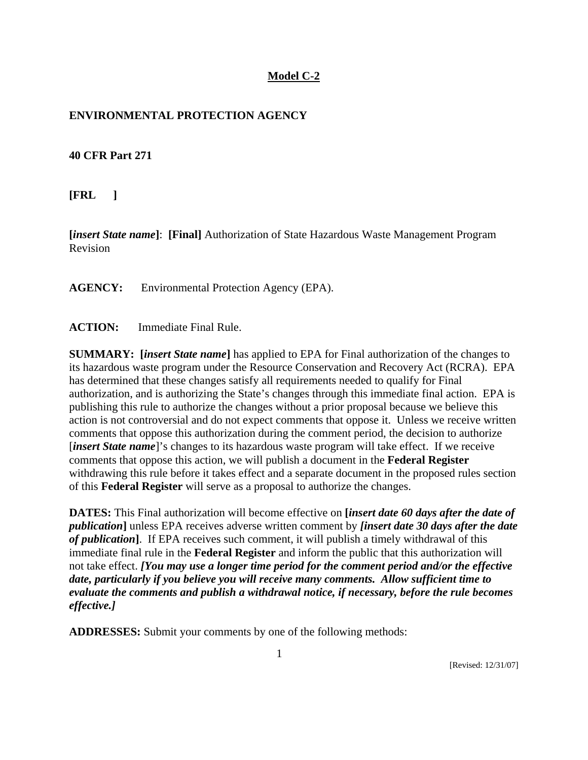#### **Model C-2**

### **ENVIRONMENTAL PROTECTION AGENCY**

#### **40 CFR Part 271**

**[FRL ]**

**[***insert State name***]**: **[Final]** Authorization of State Hazardous Waste Management Program Revision

**AGENCY:** Environmental Protection Agency (EPA).

**ACTION:** Immediate Final Rule.

**SUMMARY: [***insert State name***]** has applied to EPA for Final authorization of the changes to its hazardous waste program under the Resource Conservation and Recovery Act (RCRA). EPA has determined that these changes satisfy all requirements needed to qualify for Final authorization, and is authorizing the State's changes through this immediate final action. EPA is publishing this rule to authorize the changes without a prior proposal because we believe this action is not controversial and do not expect comments that oppose it. Unless we receive written comments that oppose this authorization during the comment period, the decision to authorize [*insert State name*]'s changes to its hazardous waste program will take effect. If we receive comments that oppose this action, we will publish a document in the **Federal Register** withdrawing this rule before it takes effect and a separate document in the proposed rules section of this **Federal Register** will serve as a proposal to authorize the changes.

**DATES:** This Final authorization will become effective on **[***insert date 60 days after the date of publication***]** unless EPA receives adverse written comment by *[insert date 30 days after the date of publication***]**. If EPA receives such comment, it will publish a timely withdrawal of this immediate final rule in the **Federal Register** and inform the public that this authorization will not take effect. *[You may use a longer time period for the comment period and/or the effective date, particularly if you believe you will receive many comments. Allow sufficient time to evaluate the comments and publish a withdrawal notice, if necessary, before the rule becomes effective.]*

**ADDRESSES:** Submit your comments by one of the following methods: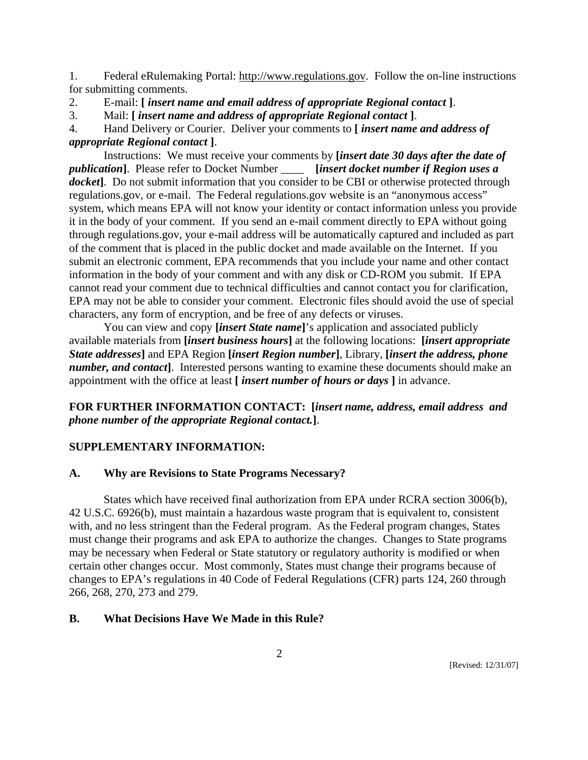1. Federal eRulemaking Portal: http://www.regulations.gov. Follow the on-line instructions for submitting comments.

2. E-mail: **[** *insert name and email address of appropriate Regional contact* **]**.

3. Mail: **[** *insert name and address of appropriate Regional contact* **]**.

4. Hand Delivery or Courier. Deliver your comments to **[** *insert name and address of appropriate Regional contact* **]**.

Instructions: We must receive your comments by **[***insert date 30 days after the date of publication***]**. Please refer to Docket Number \_\_\_\_ **[***insert docket number if Region uses a docket***]**. Do not submit information that you consider to be CBI or otherwise protected through regulations.gov, or e-mail. The Federal regulations.gov website is an "anonymous access" system, which means EPA will not know your identity or contact information unless you provide it in the body of your comment. If you send an e-mail comment directly to EPA without going through regulations.gov, your e-mail address will be automatically captured and included as part of the comment that is placed in the public docket and made available on the Internet. If you submit an electronic comment, EPA recommends that you include your name and other contact information in the body of your comment and with any disk or CD-ROM you submit. If EPA cannot read your comment due to technical difficulties and cannot contact you for clarification, EPA may not be able to consider your comment. Electronic files should avoid the use of special characters, any form of encryption, and be free of any defects or viruses.

You can view and copy **[***insert State name***]**'s application and associated publicly available materials from **[***insert business hours***]** at the following locations: **[***insert appropriate State addresses***]** and EPA Region **[***insert Region number***]**, Library, **[***insert the address, phone number, and contact*]. Interested persons wanting to examine these documents should make an appointment with the office at least **[** *insert number of hours or days* **]** in advance.

**FOR FURTHER INFORMATION CONTACT: [***insert name, address, email address and phone number of the appropriate Regional contact.***]**.

# **SUPPLEMENTARY INFORMATION:**

#### **A. Why are Revisions to State Programs Necessary?**

 States which have received final authorization from EPA under RCRA section 3006(b), 42 U.S.C. 6926(b), must maintain a hazardous waste program that is equivalent to, consistent with, and no less stringent than the Federal program. As the Federal program changes, States must change their programs and ask EPA to authorize the changes. Changes to State programs may be necessary when Federal or State statutory or regulatory authority is modified or when certain other changes occur. Most commonly, States must change their programs because of changes to EPA's regulations in 40 Code of Federal Regulations (CFR) parts 124, 260 through 266, 268, 270, 273 and 279.

### **B. What Decisions Have We Made in this Rule?**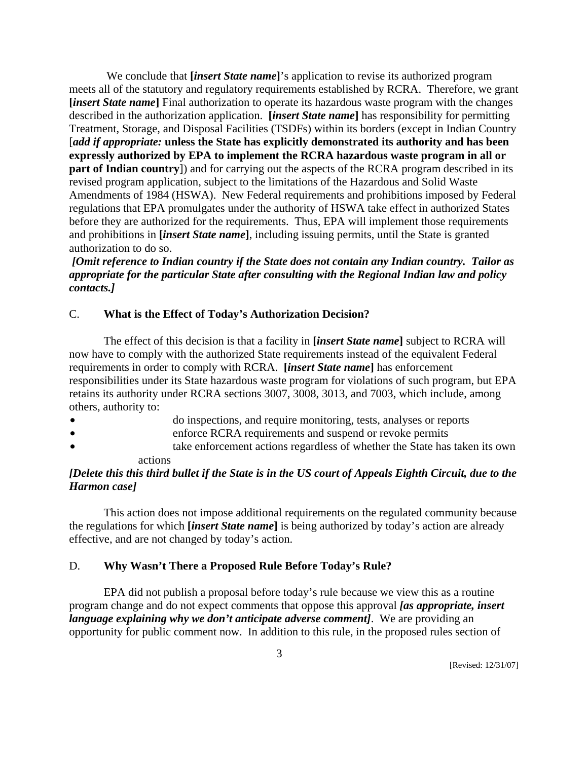We conclude that **[***insert State name***]**'s application to revise its authorized program meets all of the statutory and regulatory requirements established by RCRA. Therefore, we grant **[***insert State name***]** Final authorization to operate its hazardous waste program with the changes described in the authorization application. **[***insert State name***]** has responsibility for permitting Treatment, Storage, and Disposal Facilities (TSDFs) within its borders (except in Indian Country [*add if appropriate:* **unless the State has explicitly demonstrated its authority and has been expressly authorized by EPA to implement the RCRA hazardous waste program in all or part of Indian country**]) and for carrying out the aspects of the RCRA program described in its revised program application, subject to the limitations of the Hazardous and Solid Waste Amendments of 1984 (HSWA). New Federal requirements and prohibitions imposed by Federal regulations that EPA promulgates under the authority of HSWA take effect in authorized States before they are authorized for the requirements. Thus, EPA will implement those requirements and prohibitions in **[***insert State name***]**, including issuing permits, until the State is granted authorization to do so.

*[Omit reference to Indian country if the State does not contain any Indian country. Tailor as appropriate for the particular State after consulting with the Regional Indian law and policy contacts.]*

#### C. **What is the Effect of Today's Authorization Decision?**

 The effect of this decision is that a facility in **[***insert State name***]** subject to RCRA will now have to comply with the authorized State requirements instead of the equivalent Federal requirements in order to comply with RCRA. **[***insert State name***]** has enforcement responsibilities under its State hazardous waste program for violations of such program, but EPA retains its authority under RCRA sections 3007, 3008, 3013, and 7003, which include, among others, authority to:

- do inspections, and require monitoring, tests, analyses or reports
- enforce RCRA requirements and suspend or revoke permits
- take enforcement actions regardless of whether the State has taken its own actions

#### *[Delete this this third bullet if the State is in the US court of Appeals Eighth Circuit, due to the Harmon case]*

 This action does not impose additional requirements on the regulated community because the regulations for which **[***insert State name***]** is being authorized by today's action are already effective, and are not changed by today's action.

#### D. **Why Wasn't There a Proposed Rule Before Today's Rule?**

 EPA did not publish a proposal before today's rule because we view this as a routine program change and do not expect comments that oppose this approval *[as appropriate, insert language explaining why we don't anticipate adverse comment]*. We are providing an opportunity for public comment now. In addition to this rule, in the proposed rules section of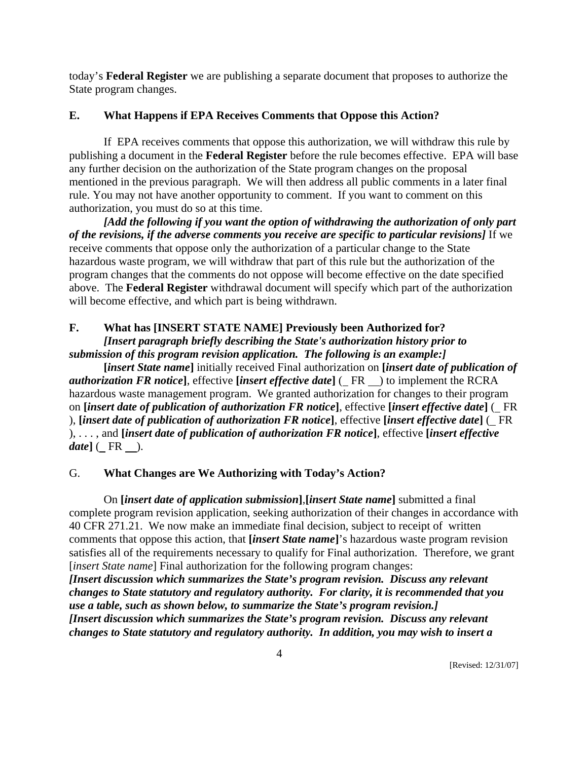today's **Federal Register** we are publishing a separate document that proposes to authorize the State program changes.

# **E. What Happens if EPA Receives Comments that Oppose this Action?**

 If EPA receives comments that oppose this authorization, we will withdraw this rule by publishing a document in the **Federal Register** before the rule becomes effective. EPA will base any further decision on the authorization of the State program changes on the proposal mentioned in the previous paragraph.We will then address all public comments in a later final rule. You may not have another opportunity to comment. If you want to comment on this authorization, you must do so at this time.

*[Add the following if you want the option of withdrawing the authorization of only part of the revisions, if the adverse comments you receive are specific to particular revisions]* If we receive comments that oppose only the authorization of a particular change to the State hazardous waste program, we will withdraw that part of this rule but the authorization of the program changes that the comments do not oppose will become effective on the date specified above. The **Federal Register** withdrawal document will specify which part of the authorization will become effective, and which part is being withdrawn.

# **F. What has [INSERT STATE NAME] Previously been Authorized for?**

*[Insert paragraph briefly describing the State's authorization history prior to submission of this program revision application. The following is an example:]*

**[***insert State name***]** initially received Final authorization on **[***insert date of publication of authorization FR notice***]**, effective **[***insert effective date***]** ( FR ) to implement the RCRA hazardous waste management program. We granted authorization for changes to their program on **[***insert date of publication of authorization FR notice***]**, effective **[***insert effective date***]** ( FR ), **[***insert date of publication of authorization FR notice***]**, effective **[***insert effective date***]** ( FR ), . . . , and **[***insert date of publication of authorization FR notice***]**, effective **[***insert effective date***]** ( $\overline{\phantom{a}}$ FR  $\overline{\phantom{a}}$ ).

# G. **What Changes are We Authorizing with Today's Action?**

 On **[***insert date of application submission***]**,**[***insert State name***]** submitted a final complete program revision application, seeking authorization of their changes in accordance with 40 CFR 271.21. We now make an immediate final decision, subject to receipt of written comments that oppose this action, that **[***insert State name***]**'s hazardous waste program revision satisfies all of the requirements necessary to qualify for Final authorization. Therefore, we grant [*insert State name*] Final authorization for the following program changes: *[Insert discussion which summarizes the State's program revision. Discuss any relevant* 

*changes to State statutory and regulatory authority. For clarity, it is recommended that you use a table, such as shown below, to summarize the State's program revision.] [Insert discussion which summarizes the State's program revision. Discuss any relevant changes to State statutory and regulatory authority. In addition, you may wish to insert a*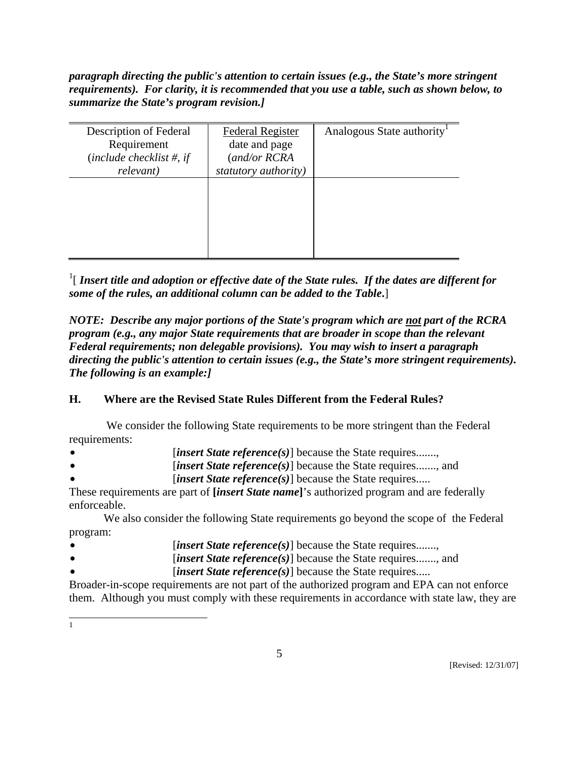*paragraph directing the public's attention to certain issues (e.g., the State's more stringent requirements). For clarity, it is recommended that you use a table, such as shown below, to summarize the State's program revision.]*

| Description of Federal      | <b>Federal Register</b> | Analogous State authority |
|-----------------------------|-------------------------|---------------------------|
| Requirement                 | date and page           |                           |
| (include checklist $#$ , if | (and/or RCRA            |                           |
| relevant)                   | statutory authority)    |                           |
|                             |                         |                           |
|                             |                         |                           |
|                             |                         |                           |
|                             |                         |                           |
|                             |                         |                           |
|                             |                         |                           |
|                             |                         |                           |

 $^1$ [ Insert title and adoption or effective date of the State rules. If the dates are different for *some of the rules, an additional column can be added to the Table***.**]

*NOTE: Describe any major portions of the State's program which are not part of the RCRA program (e.g., any major State requirements that are broader in scope than the relevant Federal requirements; non delegable provisions). You may wish to insert a paragraph directing the public's attention to certain issues (e.g., the State's more stringent requirements). The following is an example:]* 

# **H. Where are the Revised State Rules Different from the Federal Rules?**

 We consider the following State requirements to be more stringent than the Federal requirements:

- [*insert State reference(s)*] because the State requires.......,
- *insert State reference(s)* because the State requires......., and
	- [*insert State reference(s)*] because the State requires.....

These requirements are part of **[***insert State name***]**'s authorized program and are federally enforceable.

 We also consider the following State requirements go beyond the scope of the Federal program:

- *insert State reference(s)* because the State requires.......,
- *insert State reference(s)* because the State requires......., and
- [*insert State reference(s)*] because the State requires.....

Broader-in-scope requirements are not part of the authorized program and EPA can not enforce them. Although you must comply with these requirements in accordance with state law, they are

<sup>|&</sup>lt;br>|<br>|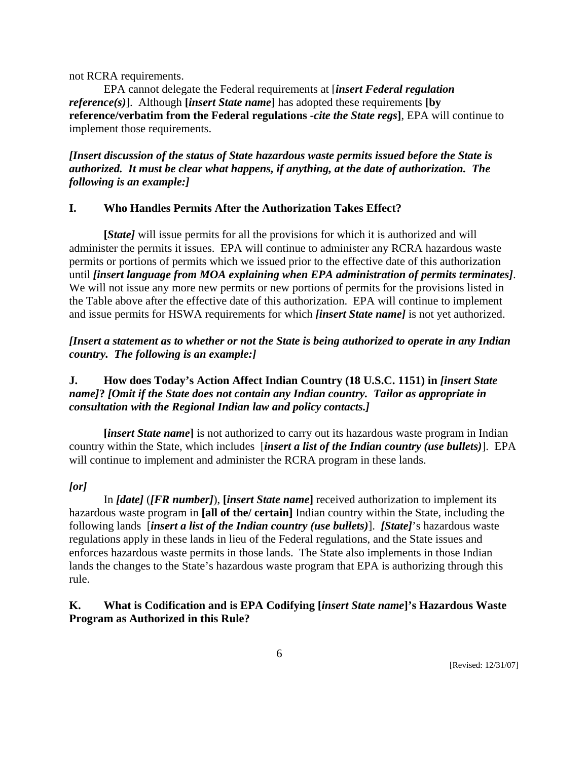not RCRA requirements.

 EPA cannot delegate the Federal requirements at [*insert Federal regulation reference(s)*]. Although **[***insert State name***]** has adopted these requirements **[by reference/verbatim from the Federal regulations -***cite the State regs***]**, EPA will continue to implement those requirements.

# *[Insert discussion of the status of State hazardous waste permits issued before the State is authorized. It must be clear what happens, if anything, at the date of authorization. The following is an example:]*

#### **I. Who Handles Permits After the Authorization Takes Effect?**

 **[***State]* will issue permits for all the provisions for which it is authorized and will administer the permits it issues. EPA will continue to administer any RCRA hazardous waste permits or portions of permits which we issued prior to the effective date of this authorization until *[insert language from MOA explaining when EPA administration of permits terminates]*. We will not issue any more new permits or new portions of permits for the provisions listed in the Table above after the effective date of this authorization. EPA will continue to implement and issue permits for HSWA requirements for which *[insert State name]* is not yet authorized.

### *[Insert a statement as to whether or not the State is being authorized to operate in any Indian country. The following is an example:]*

### **J. How does Today's Action Affect Indian Country (18 U.S.C. 1151) in** *[insert State name]***?** *[Omit if the State does not contain any Indian country. Tailor as appropriate in consultation with the Regional Indian law and policy contacts.]*

**[***insert State name***]** is not authorized to carry out its hazardous waste program in Indian country within the State, which includes [*insert a list of the Indian country (use bullets)*]. EPA will continue to implement and administer the RCRA program in these lands.

# *[or]*

 In *[date]* (*[FR number]*), **[***insert State name***]** received authorization to implement its hazardous waste program in **[all of the/ certain]** Indian country within the State, including the following lands [*insert a list of the Indian country (use bullets)*]. *[State]*'s hazardous waste regulations apply in these lands in lieu of the Federal regulations, and the State issues and enforces hazardous waste permits in those lands. The State also implements in those Indian lands the changes to the State's hazardous waste program that EPA is authorizing through this rule.

# **K. What is Codification and is EPA Codifying [***insert State name***]'s Hazardous Waste Program as Authorized in this Rule?**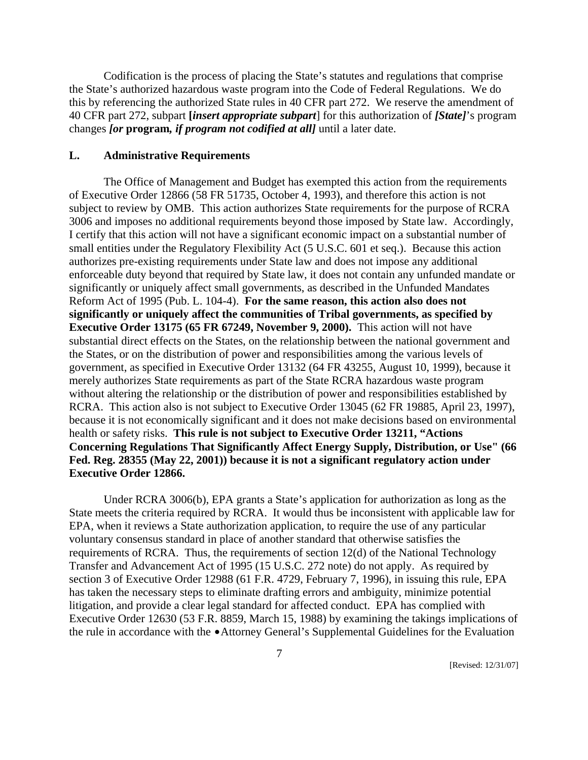Codification is the process of placing the State's statutes and regulations that comprise the State's authorized hazardous waste program into the Code of Federal Regulations. We do this by referencing the authorized State rules in 40 CFR part 272. We reserve the amendment of 40 CFR part 272, subpart **[***insert appropriate subpart*] for this authorization of *[State]*'s program changes *[or* **program***, if program not codified at all]* until a later date.

#### **L. Administrative Requirements**

 The Office of Management and Budget has exempted this action from the requirements of Executive Order 12866 (58 FR 51735, October 4, 1993), and therefore this action is not subject to review by OMB. This action authorizes State requirements for the purpose of RCRA 3006 and imposes no additional requirements beyond those imposed by State law. Accordingly, I certify that this action will not have a significant economic impact on a substantial number of small entities under the Regulatory Flexibility Act (5 U.S.C. 601 et seq.). Because this action authorizes pre-existing requirements under State law and does not impose any additional enforceable duty beyond that required by State law, it does not contain any unfunded mandate or significantly or uniquely affect small governments, as described in the Unfunded Mandates Reform Act of 1995 (Pub. L. 104-4). **For the same reason, this action also does not significantly or uniquely affect the communities of Tribal governments, as specified by Executive Order 13175 (65 FR 67249, November 9, 2000).** This action will not have substantial direct effects on the States, on the relationship between the national government and the States, or on the distribution of power and responsibilities among the various levels of government, as specified in Executive Order 13132 (64 FR 43255, August 10, 1999), because it merely authorizes State requirements as part of the State RCRA hazardous waste program without altering the relationship or the distribution of power and responsibilities established by RCRA. This action also is not subject to Executive Order 13045 (62 FR 19885, April 23, 1997), because it is not economically significant and it does not make decisions based on environmental health or safety risks. **This rule is not subject to Executive Order 13211, "Actions Concerning Regulations That Significantly Affect Energy Supply, Distribution, or Use" (66 Fed. Reg. 28355 (May 22, 2001)) because it is not a significant regulatory action under Executive Order 12866.**

 Under RCRA 3006(b), EPA grants a State's application for authorization as long as the State meets the criteria required by RCRA. It would thus be inconsistent with applicable law for EPA, when it reviews a State authorization application, to require the use of any particular voluntary consensus standard in place of another standard that otherwise satisfies the requirements of RCRA. Thus, the requirements of section 12(d) of the National Technology Transfer and Advancement Act of 1995 (15 U.S.C. 272 note) do not apply. As required by section 3 of Executive Order 12988 (61 F.R. 4729, February 7, 1996), in issuing this rule, EPA has taken the necessary steps to eliminate drafting errors and ambiguity, minimize potential litigation, and provide a clear legal standard for affected conduct. EPA has complied with Executive Order 12630 (53 F.R. 8859, March 15, 1988) by examining the takings implications of the rule in accordance with the •Attorney General's Supplemental Guidelines for the Evaluation